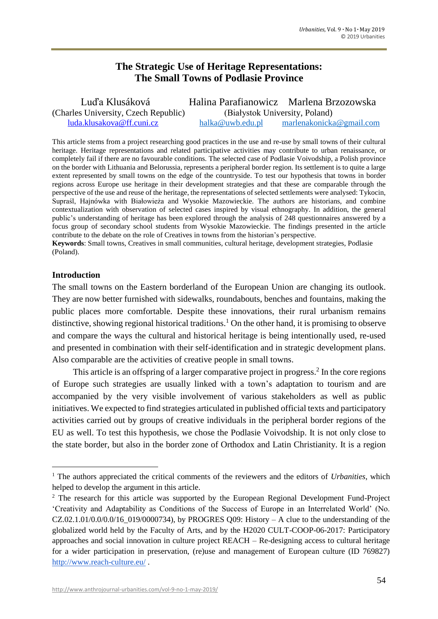## **The Strategic Use of Heritage Representations: The Small Towns of Podlasie Province**

| Luďa Klusáková                       |                                | Halina Parafianowicz Marlena Brzozowska |
|--------------------------------------|--------------------------------|-----------------------------------------|
| (Charles University, Czech Republic) | (Białystok University, Poland) |                                         |
| luda.klusakova@ff.cuni.cz            | halka@uwb.edu.pl               | marlenakonicka@gmail.com                |

This article stems from a project researching good practices in the use and re-use by small towns of their cultural heritage. Heritage representations and related participative activities may contribute to urban renaissance, or completely fail if there are no favourable conditions. The selected case of Podlasie Voivodship, a Polish province on the border with Lithuania and Belorussia, represents a peripheral border region. Its settlement is to quite a large extent represented by small towns on the edge of the countryside. To test our hypothesis that towns in border regions across Europe use heritage in their development strategies and that these are comparable through the perspective of the use and reuse of the heritage, the representations of selected settlements were analysed: Tykocin, Supraśl, Hajnówka with Białowieża and Wysokie Mazowieckie. The authors are historians, and combine contextualization with observation of selected cases inspired by visual ethnography. In addition, the general public's understanding of heritage has been explored through the analysis of 248 questionnaires answered by a focus group of secondary school students from Wysokie Mazowieckie. The findings presented in the article contribute to the debate on the role of Creatives in towns from the historian's perspective.

**Keywords**: Small towns, Creatives in small communities, cultural heritage, development strategies, Podlasie (Poland).

## **Introduction**

 $\overline{\phantom{a}}$ 

The small towns on the Eastern borderland of the European Union are changing its outlook. They are now better furnished with sidewalks, roundabouts, benches and fountains, making the public places more comfortable. Despite these innovations, their rural urbanism remains distinctive, showing regional historical traditions.<sup>1</sup> On the other hand, it is promising to observe and compare the ways the cultural and historical heritage is being intentionally used, re-used and presented in combination with their self-identification and in strategic development plans. Also comparable are the activities of creative people in small towns.

This article is an offspring of a larger comparative project in progress.<sup>2</sup> In the core regions of Europe such strategies are usually linked with a town's adaptation to tourism and are accompanied by the very visible involvement of various stakeholders as well as public initiatives. We expected to find strategies articulated in published official texts and participatory activities carried out by groups of creative individuals in the peripheral border regions of the EU as well. To test this hypothesis, we chose the Podlasie Voivodship. It is not only close to the state border, but also in the border zone of Orthodox and Latin Christianity. It is a region

<sup>1</sup> The authors appreciated the critical comments of the reviewers and the editors of *Urbanities*, which helped to develop the argument in this article.

<sup>&</sup>lt;sup>2</sup> The research for this article was supported by the European Regional Development Fund-Project 'Creativity and Adaptability as Conditions of the Success of Europe in an Interrelated World' (No.  $CZ.02.1.01/0.0/0.0/16$  019/0000734), by PROGRES Q09: History – A clue to the understanding of the globalized world held by the Faculty of Arts, and by the H2020 CULT-COOP-06-2017: Participatory approaches and social innovation in culture project REACH – Re-designing access to cultural heritage for a wider participation in preservation, (re)use and management of European culture (ID 769827) <http://www.reach-culture.eu/> .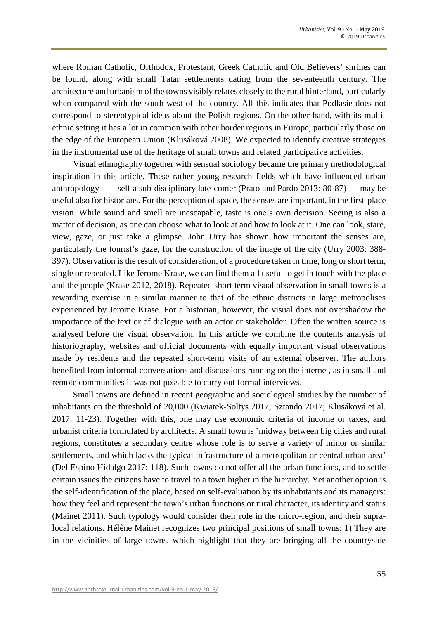where Roman Catholic, Orthodox, Protestant, Greek Catholic and Old Believers' shrines can be found, along with small Tatar settlements dating from the seventeenth century. The architecture and urbanism of the towns visibly relates closely to the rural hinterland, particularly when compared with the south-west of the country. All this indicates that Podlasie does not correspond to stereotypical ideas about the Polish regions. On the other hand, with its multiethnic setting it has a lot in common with other border regions in Europe, particularly those on the edge of the European Union (Klusáková 2008). We expected to identify creative strategies in the instrumental use of the heritage of small towns and related participative activities.

Visual ethnography together with sensual sociology became the primary methodological inspiration in this article. These rather young research fields which have influenced urban anthropology — itself a sub-disciplinary late-comer (Prato and Pardo 2013: 80-87) — may be useful also for historians. For the perception of space, the senses are important, in the first-place vision. While sound and smell are inescapable, taste is one's own decision. Seeing is also a matter of decision, as one can choose what to look at and how to look at it. One can look, stare, view, gaze, or just take a glimpse. John Urry has shown how important the senses are, particularly the tourist's gaze, for the construction of the image of the city (Urry 2003: 388- 397). Observation is the result of consideration, of a procedure taken in time, long or short term, single or repeated. Like Jerome Krase, we can find them all useful to get in touch with the place and the people (Krase 2012, 2018). Repeated short term visual observation in small towns is a rewarding exercise in a similar manner to that of the ethnic districts in large metropolises experienced by Jerome Krase. For a historian, however, the visual does not overshadow the importance of the text or of dialogue with an actor or stakeholder. Often the written source is analysed before the visual observation. In this article we combine the contents analysis of historiography, websites and official documents with equally important visual observations made by residents and the repeated short-term visits of an external observer. The authors benefited from informal conversations and discussions running on the internet, as in small and remote communities it was not possible to carry out formal interviews.

Small towns are defined in recent geographic and sociological studies by the number of inhabitants on the threshold of 20,000 (Kwiatek-Soltys 2017; Sztando 2017; Klusáková et al. 2017: 11-23). Together with this, one may use economic criteria of income or taxes, and urbanist criteria formulated by architects. A small town is 'midway between big cities and rural regions, constitutes a secondary centre whose role is to serve a variety of minor or similar settlements, and which lacks the typical infrastructure of a metropolitan or central urban area' (Del Espino Hidalgo 2017: 118). Such towns do not offer all the urban functions, and to settle certain issues the citizens have to travel to a town higher in the hierarchy. Yet another option is the self-identification of the place, based on self-evaluation by its inhabitants and its managers: how they feel and represent the town's urban functions or rural character, its identity and status (Mainet 2011). Such typology would consider their role in the micro-region, and their supralocal relations. Hélène Mainet recognizes two principal positions of small towns: 1) They are in the vicinities of large towns, which highlight that they are bringing all the countryside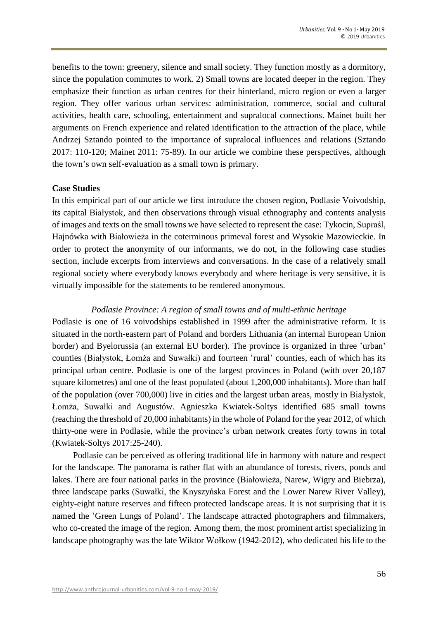benefits to the town: greenery, silence and small society. They function mostly as a dormitory, since the population commutes to work. 2) Small towns are located deeper in the region. They emphasize their function as urban centres for their hinterland, micro region or even a larger region. They offer various urban services: administration, commerce, social and cultural activities, health care, schooling, entertainment and supralocal connections. Mainet built her arguments on French experience and related identification to the attraction of the place, while Andrzej Sztando pointed to the importance of supralocal influences and relations (Sztando 2017: 110-120; Mainet 2011: 75-89). In our article we combine these perspectives, although the town's own self-evaluation as a small town is primary.

## **Case Studies**

In this empirical part of our article we first introduce the chosen region, Podlasie Voivodship, its capital Białystok, and then observations through visual ethnography and contents analysis of images and texts on the small towns we have selected to represent the case: Tykocin, Supraśl, Hajnówka with Białowieża in the coterminous primeval forest and Wysokie Mazowieckie. In order to protect the anonymity of our informants, we do not, in the following case studies section, include excerpts from interviews and conversations. In the case of a relatively small regional society where everybody knows everybody and where heritage is very sensitive, it is virtually impossible for the statements to be rendered anonymous.

## *Podlasie Province: A region of small towns and of multi-ethnic heritage*

Podlasie is one of 16 voivodships established in 1999 after the administrative reform. It is situated in the north-eastern part of Poland and borders Lithuania (an internal European Union border) and Byelorussia (an external EU border). The province is organized in three 'urban' counties (Białystok, Łomża and Suwałki) and fourteen 'rural' counties, each of which has its principal urban centre. Podlasie is one of the largest provinces in Poland (with over 20,187 square kilometres) and one of the least populated (about 1,200,000 inhabitants). More than half of the population (over 700,000) live in cities and the largest urban areas, mostly in Białystok, Łomża, Suwałki and Augustów. Agnieszka Kwiatek-Soltys identified 685 small towns (reaching the threshold of 20,000 inhabitants) in the whole of Poland for the year 2012, of which thirty-one were in Podlasie, while the province's urban network creates forty towns in total (Kwiatek-Soltys 2017:25-240).

Podlasie can be perceived as offering traditional life in harmony with nature and respect for the landscape. The panorama is rather flat with an abundance of forests, rivers, ponds and lakes. There are four national parks in the province (Białowieża, Narew, Wigry and Biebrza), three landscape parks (Suwałki, the Knyszyńska Forest and the Lower Narew River Valley), eighty-eight nature reserves and fifteen protected landscape areas. It is not surprising that it is named the 'Green Lungs of Poland'. The landscape attracted photographers and filmmakers, who co-created the image of the region. Among them, the most prominent artist specializing in landscape photography was the late Wiktor Wołkow (1942-2012), who dedicated his life to the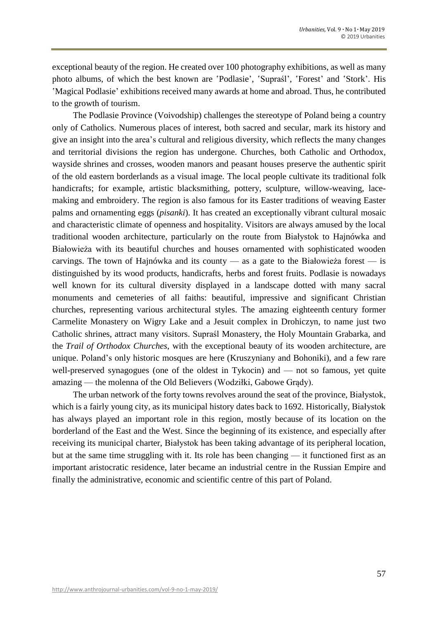exceptional beauty of the region. He created over 100 photography exhibitions, as well as many photo albums, of which the best known are 'Podlasie', 'Supraśl', 'Forest' and 'Stork'. His 'Magical Podlasie' exhibitions received many awards at home and abroad. Thus, he contributed to the growth of tourism.

The Podlasie Province (Voivodship) challenges the stereotype of Poland being a country only of Catholics. Numerous places of interest, both sacred and secular, mark its history and give an insight into the area's cultural and religious diversity, which reflects the many changes and territorial divisions the region has undergone. Churches, both Catholic and Orthodox, wayside shrines and crosses, wooden manors and peasant houses preserve the authentic spirit of the old eastern borderlands as a visual image. The local people cultivate its traditional folk handicrafts; for example, artistic blacksmithing, pottery, sculpture, willow-weaving, lacemaking and embroidery. The region is also famous for its Easter traditions of weaving Easter palms and ornamenting eggs (*pisanki*). It has created an exceptionally vibrant cultural mosaic and characteristic climate of openness and hospitality. Visitors are always amused by the local traditional wooden architecture, particularly on the route from Białystok to Hajnówka and Białowieża with its beautiful churches and houses ornamented with sophisticated wooden carvings. The town of Hajnówka and its county — as a gate to the Białowieża forest — is distinguished by its wood products, handicrafts, herbs and forest fruits. Podlasie is nowadays well known for its cultural diversity displayed in a landscape dotted with many sacral monuments and cemeteries of all faiths: beautiful, impressive and significant Christian churches, representing various architectural styles. The amazing eighteenth century former Carmelite Monastery on Wigry Lake and a Jesuit complex in Drohiczyn, to name just two Catholic shrines, attract many visitors. Supraśl Monastery, the Holy Mountain Grabarka, and the *Trail of Orthodox Churches*, with the exceptional beauty of its wooden architecture, are unique. Poland's only historic mosques are here (Kruszyniany and Bohoniki), and a few rare well-preserved synagogues (one of the oldest in Tykocin) and — not so famous, yet quite amazing — the molenna of the Old Believers (Wodziłki, Gabowe Grądy).

The urban network of the forty towns revolves around the seat of the province, Białystok, which is a fairly young city, as its municipal history dates back to 1692. Historically, Białystok has always played an important role in this region, mostly because of its location on the borderland of the East and the West. Since the beginning of its existence, and especially after receiving its municipal charter, Białystok has been taking advantage of its peripheral location, but at the same time struggling with it. Its role has been changing — it functioned first as an important aristocratic residence, later became an industrial centre in the Russian Empire and finally the administrative, economic and scientific centre of this part of Poland.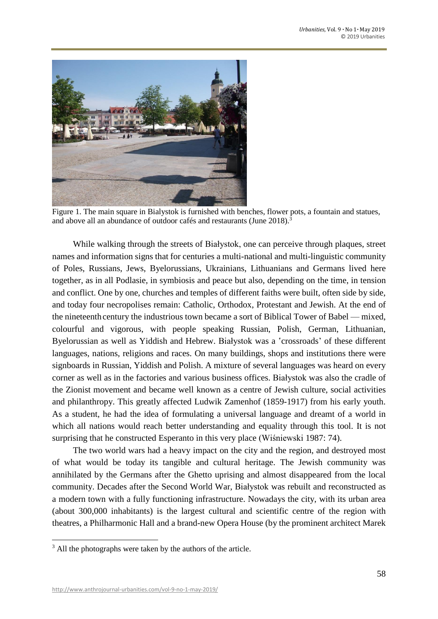

Figure 1. The main square in Bialystok is furnished with benches, flower pots, a fountain and statues, and above all an abundance of outdoor cafés and restaurants (June 2018).<sup>3</sup>

While walking through the streets of Białystok, one can perceive through plaques, street names and information signs that for centuries a multi-national and multi-linguistic community of Poles, Russians, Jews, Byelorussians, Ukrainians, Lithuanians and Germans lived here together, as in all Podlasie, in symbiosis and peace but also, depending on the time, in tension and conflict. One by one, churches and temples of different faiths were built, often side by side, and today four necropolises remain: Catholic, Orthodox, Protestant and Jewish. At the end of the nineteenth century the industrious town became a sort of Biblical Tower of Babel — mixed, colourful and vigorous, with people speaking Russian, Polish, German, Lithuanian, Byelorussian as well as Yiddish and Hebrew. Białystok was a 'crossroads' of these different languages, nations, religions and races. On many buildings, shops and institutions there were signboards in Russian, Yiddish and Polish. A mixture of several languages was heard on every corner as well as in the factories and various business offices. Białystok was also the cradle of the Zionist movement and became well known as a centre of Jewish culture, social activities and philanthropy. This greatly affected Ludwik Zamenhof (1859-1917) from his early youth. As a student, he had the idea of formulating a universal language and dreamt of a world in which all nations would reach better understanding and equality through this tool. It is not surprising that he constructed Esperanto in this very place (Wiśniewski 1987: 74).

The two world wars had a heavy impact on the city and the region, and destroyed most of what would be today its tangible and cultural heritage. The Jewish community was annihilated by the Germans after the Ghetto uprising and almost disappeared from the local community. Decades after the Second World War, Białystok was rebuilt and reconstructed as a modern town with a fully functioning infrastructure. Nowadays the city, with its urban area (about 300,000 inhabitants) is the largest cultural and scientific centre of the region with theatres, a Philharmonic Hall and a brand-new Opera House (by the prominent architect Marek

 $\overline{\phantom{a}}$ 

<sup>&</sup>lt;sup>3</sup> All the photographs were taken by the authors of the article.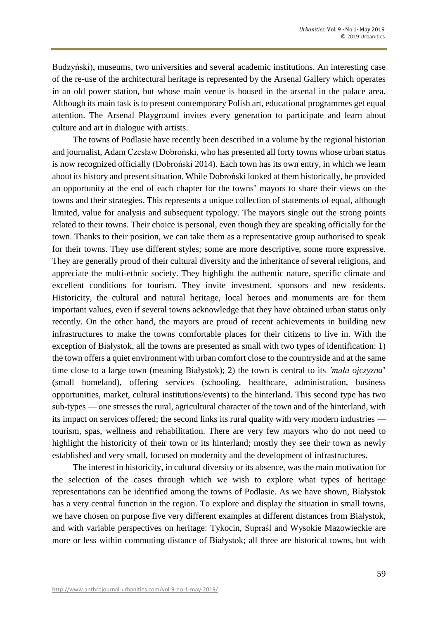Budzyński), museums, two universities and several academic institutions. An interesting case of the re-use of the architectural heritage is represented by the Arsenal Gallery which operates in an old power station, but whose main venue is housed in the arsenal in the palace area. Although its main task is to present contemporary Polish art, educational programmes get equal attention. The Arsenal Playground invites every generation to participate and learn about culture and art in dialogue with artists.

The towns of Podlasie have recently been described in a volume by the regional historian and journalist, Adam Czesław Dobroński, who has presented all forty towns whose urban status is now recognized officially (Dobroński 2014). Each town has its own entry, in which we learn about its history and present situation. While Dobroński looked at them historically, he provided an opportunity at the end of each chapter for the towns' mayors to share their views on the towns and their strategies. This represents a unique collection of statements of equal, although limited, value for analysis and subsequent typology. The mayors single out the strong points related to their towns. Their choice is personal, even though they are speaking officially for the town. Thanks to their position, we can take them as a representative group authorised to speak for their towns. They use different styles; some are more descriptive, some more expressive. They are generally proud of their cultural diversity and the inheritance of several religions, and appreciate the multi-ethnic society. They highlight the authentic nature, specific climate and excellent conditions for tourism. They invite investment, sponsors and new residents. Historicity, the cultural and natural heritage, local heroes and monuments are for them important values, even if several towns acknowledge that they have obtained urban status only recently. On the other hand, the mayors are proud of recent achievements in building new infrastructures to make the towns comfortable places for their citizens to live in. With the exception of Białystok, all the towns are presented as small with two types of identification: 1) the town offers a quiet environment with urban comfort close to the countryside and at the same time close to a large town (meaning Białystok); 2) the town is central to its *'mała ojczyzna'* (small homeland), offering services (schooling, healthcare, administration, business opportunities, market, cultural institutions/events) to the hinterland. This second type has two sub-types — one stresses the rural, agricultural character of the town and of the hinterland, with its impact on services offered; the second links its rural quality with very modern industries tourism, spas, wellness and rehabilitation. There are very few mayors who do not need to highlight the historicity of their town or its hinterland; mostly they see their town as newly established and very small, focused on modernity and the development of infrastructures.

The interest in historicity, in cultural diversity or its absence, was the main motivation for the selection of the cases through which we wish to explore what types of heritage representations can be identified among the towns of Podlasie. As we have shown, Białystok has a very central function in the region. To explore and display the situation in small towns, we have chosen on purpose five very different examples at different distances from Białystok, and with variable perspectives on heritage: Tykocin, Supraśl and Wysokie Mazowieckie are more or less within commuting distance of Białystok; all three are historical towns, but with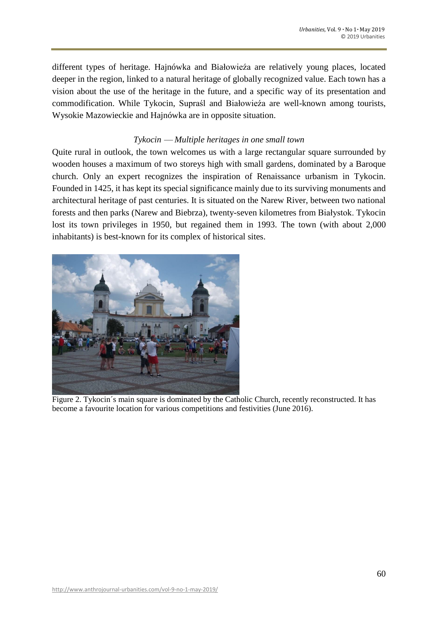different types of heritage. Hajnówka and Białowieźa are relatively young places, located deeper in the region, linked to a natural heritage of globally recognized value. Each town has a vision about the use of the heritage in the future, and a specific way of its presentation and commodification. While Tykocin, Supraśl and Białowieźa are well-known among tourists, Wysokie Mazowieckie and Hajnówka are in opposite situation.

## *Tykocin ⸺ Multiple heritages in one small town*

Quite rural in outlook, the town welcomes us with a large rectangular square surrounded by wooden houses a maximum of two storeys high with small gardens, dominated by a Baroque church. Only an expert recognizes the inspiration of Renaissance urbanism in Tykocin. Founded in 1425, it has kept its special significance mainly due to its surviving monuments and architectural heritage of past centuries. It is situated on the Narew River, between two national forests and then parks (Narew and Biebrza), twenty-seven kilometres from Białystok. Tykocin lost its town privileges in 1950, but regained them in 1993. The town (with about 2,000 inhabitants) is best-known for its complex of historical sites.



Figure 2. Tykocin´s main square is dominated by the Catholic Church, recently reconstructed. It has become a favourite location for various competitions and festivities (June 2016).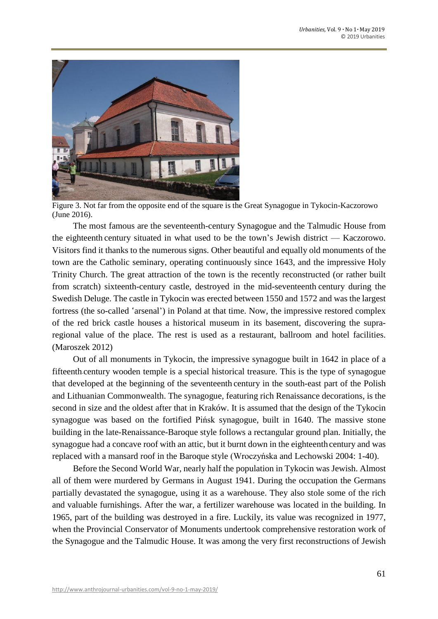

Figure 3. Not far from the opposite end of the square is the Great Synagogue in Tykocin-Kaczorowo (June 2016).

The most famous are the seventeenth-century Synagogue and the Talmudic House from the eighteenth century situated in what used to be the town's Jewish district — Kaczorowo. Visitors find it thanks to the numerous signs. Other beautiful and equally old monuments of the town are the Catholic seminary, operating continuously since 1643, and the impressive Holy Trinity Church. The great attraction of the town is the recently reconstructed (or rather built from scratch) sixteenth-century castle, destroyed in the mid-seventeenth century during the Swedish Deluge. The castle in Tykocin was erected between 1550 and 1572 and was the largest fortress (the so-called 'arsenal') in Poland at that time. Now, the impressive restored complex of the red brick castle houses a historical museum in its basement, discovering the supraregional value of the place. The rest is used as a restaurant, ballroom and hotel facilities. (Maroszek 2012)

Out of all monuments in Tykocin, the impressive synagogue built in 1642 in place of a fifteenth-century wooden temple is a special historical treasure. This is the type of synagogue that developed at the beginning of the seventeenth century in the south-east part of the Polish and Lithuanian Commonwealth. The synagogue, featuring rich Renaissance decorations, is the second in size and the oldest after that in Kraków. It is assumed that the design of the Tykocin synagogue was based on the fortified Pińsk synagogue, built in 1640. The massive stone building in the late-Renaissance-Baroque style follows a rectangular ground plan. Initially, the synagogue had a concave roof with an attic, but it burnt down in the eighteenth century and was replaced with a mansard roof in the Baroque style (Wroczyńska and Lechowski 2004: 1-40).

Before the Second World War, nearly half the population in Tykocin was Jewish. Almost all of them were murdered by Germans in August 1941. During the occupation the Germans partially devastated the synagogue, using it as a warehouse. They also stole some of the rich and valuable furnishings. After the war, a fertilizer warehouse was located in the building. In 1965, part of the building was destroyed in a fire. Luckily, its value was recognized in 1977, when the Provincial Conservator of Monuments undertook comprehensive restoration work of the Synagogue and the Talmudic House. It was among the very first reconstructions of Jewish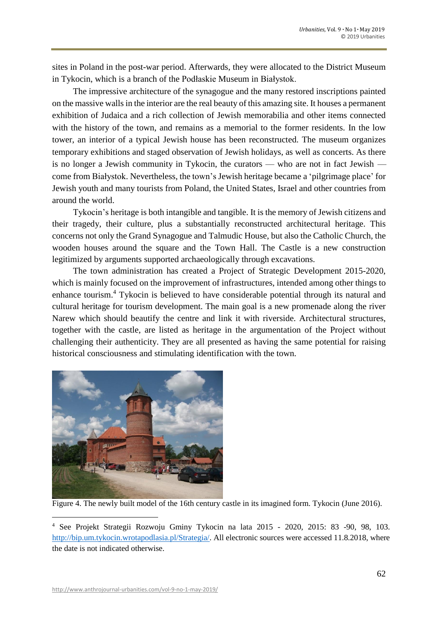sites in Poland in the post-war period. Afterwards, they were allocated to the District Museum in Tykocin, which is a branch of the Podłaskie Museum in Białystok.

The impressive architecture of the synagogue and the many restored inscriptions painted on the massive walls in the interior are the real beauty of this amazing site. It houses a permanent exhibition of Judaica and a rich collection of Jewish memorabilia and other items connected with the history of the town, and remains as a memorial to the former residents. In the low tower, an interior of a typical Jewish house has been reconstructed. The museum organizes temporary exhibitions and staged observation of Jewish holidays, as well as concerts. As there is no longer a Jewish community in Tykocin, the curators — who are not in fact Jewish come from Białystok. Nevertheless, the town's Jewish heritage became a 'pilgrimage place' for Jewish youth and many tourists from Poland, the United States, Israel and other countries from around the world.

Tykocin's heritage is both intangible and tangible. It is the memory of Jewish citizens and their tragedy, their culture, plus a substantially reconstructed architectural heritage. This concerns not only the Grand Synagogue and Talmudic House, but also the Catholic Church, the wooden houses around the square and the Town Hall. The Castle is a new construction legitimized by arguments supported archaeologically through excavations.

The town administration has created a Project of Strategic Development 2015-2020, which is mainly focused on the improvement of infrastructures, intended among other things to enhance tourism.<sup>4</sup> Tykocin is believed to have considerable potential through its natural and cultural heritage for tourism development. The main goal is a new promenade along the river Narew which should beautify the centre and link it with riverside. Architectural structures, together with the castle, are listed as heritage in the argumentation of the Project without challenging their authenticity. They are all presented as having the same potential for raising historical consciousness and stimulating identification with the town.



Figure 4. The newly built model of the 16th century castle in its imagined form. Tykocin (June 2016).

l

<sup>4</sup> See Projekt Strategii Rozwoju Gminy Tykocin na lata 2015 - 2020, 2015: 83 -90, 98, 103. [http://bip.um.tykocin.wrotapodlasia.pl/Strategia/.](http://bip.um.tykocin.wrotapodlasia.pl/Strategia/) All electronic sources were accessed 11.8.2018, where the date is not indicated otherwise.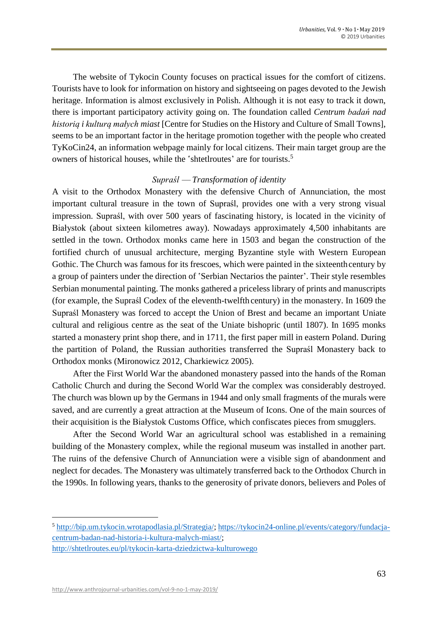The website of Tykocin County focuses on practical issues for the comfort of citizens. Tourists have to look for information on history and sightseeing on pages devoted to the Jewish heritage. Information is almost exclusively in Polish. Although it is not easy to track it down, there is important participatory activity going on. The foundation called *Centrum badań nad historią i kulturą małych miast* [Centre for Studies on the History and Culture of Small Towns], seems to be an important factor in the heritage promotion together with the people who created TyKoCin24, an information webpage mainly for local citizens. Their main target group are the owners of historical houses, while the 'shtetlroutes' are for tourists.<sup>5</sup>

#### *Supraśl ⸺ Transformation of identity*

A visit to the Orthodox Monastery with the defensive Church of Annunciation, the most important cultural treasure in the town of Supraśl, provides one with a very strong visual impression. Supraśl, with over 500 years of fascinating history, is located in the vicinity of Białystok (about sixteen kilometres away). Nowadays approximately 4,500 inhabitants are settled in the town. Orthodox monks came here in 1503 and began the construction of the fortified church of unusual architecture, merging Byzantine style with Western European Gothic. The Church was famous for its frescoes, which were painted in the sixteenth century by a group of painters under the direction of 'Serbian Nectarios the painter'. Their style resembles Serbian monumental painting. The monks gathered a priceless library of prints and manuscripts (for example, the Supraśl Codex of the eleventh-twelfth century) in the monastery. In 1609 the Supraśl Monastery was forced to accept the Union of Brest and became an important Uniate cultural and religious centre as the seat of the Uniate bishopric (until 1807). In 1695 monks started a monastery print shop there, and in 1711, the first paper mill in eastern Poland. During the partition of Poland, the Russian authorities transferred the Supraśl Monastery back to Orthodox monks (Mironowicz 2012, Charkiewicz 2005).

After the First World War the abandoned monastery passed into the hands of the Roman Catholic Church and during the Second World War the complex was considerably destroyed. The church was blown up by the Germans in 1944 and only small fragments of the murals were saved, and are currently a great attraction at the Museum of Icons. One of the main sources of their acquisition is the Białystok Customs Office, which confiscates pieces from smugglers.

After the Second World War an agricultural school was established in a remaining building of the Monastery complex, while the regional museum was installed in another part. The ruins of the defensive Church of Annunciation were a visible sign of abandonment and neglect for decades. The Monastery was ultimately transferred back to the Orthodox Church in the 1990s. In following years, thanks to the generosity of private donors, believers and Poles of

l

<sup>5</sup> [http://bip.um.tykocin.wrotapodlasia.pl/Strategia/;](http://bip.um.tykocin.wrotapodlasia.pl/Strategia/) [https://tykocin24-online.pl/events/category/fundacja](https://tykocin24-online.pl/events/category/fundacja-centrum-badan-nad-historia-i-kultura-malych-miast/)[centrum-badan-nad-historia-i-kultura-malych-miast/;](https://tykocin24-online.pl/events/category/fundacja-centrum-badan-nad-historia-i-kultura-malych-miast/) <http://shtetlroutes.eu/pl/tykocin-karta-dziedzictwa-kulturowego>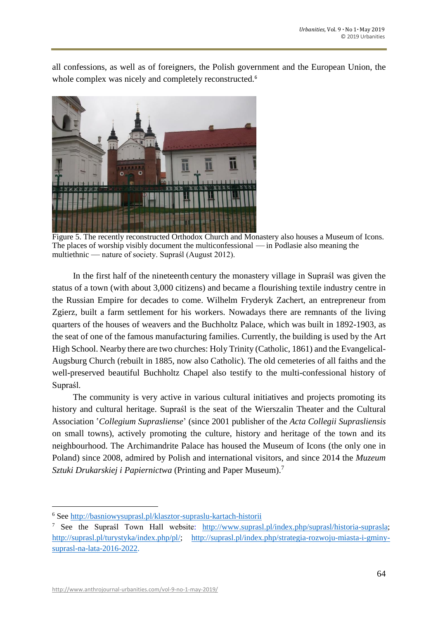all confessions, as well as of foreigners, the Polish government and the European Union, the whole complex was nicely and completely reconstructed.<sup>6</sup>



Figure 5. The recently reconstructed Orthodox Church and Monastery also houses a Museum of Icons. The places of worship visibly document the multiconfessional — in Podlasie also meaning the multiethnic — nature of society. Supraśl (August 2012).

In the first half of the nineteenth century the monastery village in Supraśl was given the status of a town (with about 3,000 citizens) and became a flourishing textile industry centre in the Russian Empire for decades to come. Wilhelm Fryderyk Zachert, an entrepreneur from Zgierz, built a farm settlement for his workers. Nowadays there are remnants of the living quarters of the houses of weavers and the Buchholtz Palace, which was built in 1892-1903, as the seat of one of the famous manufacturing families. Currently, the building is used by the Art High School. Nearby there are two churches: Holy Trinity (Catholic, 1861) and the Evangelical-Augsburg Church (rebuilt in 1885, now also Catholic). The old cemeteries of all faiths and the well-preserved beautiful Buchholtz Chapel also testify to the multi-confessional history of Supraśl.

The community is very active in various cultural initiatives and projects promoting its history and cultural heritage. Supraśl is the seat of the Wierszalin Theater and the Cultural Association ʽ*Collegium Suprasliense*' (since 2001 publisher of the *Acta Collegii Suprasliensis* on small towns), actively promoting the culture, history and heritage of the town and its neighbourhood. The Archimandrite Palace has housed the Museum of Icons (the only one in Poland) since 2008, admired by Polish and international visitors, and since 2014 the *Muzeum Sztuki Drukarskiej i Papiernictwa* (Printing and Paper Museum). 7

 $\overline{\phantom{a}}$ 

<sup>6</sup> See<http://basniowysuprasl.pl/klasztor-supraslu-kartach-historii>

<sup>7</sup> See the Supraśl Town Hall website: [http://www.suprasl.pl/index.php/suprasl/historia-suprasla;](http://www.suprasl.pl/index.php/suprasl/historia-suprasla) [http://suprasl.pl/turystyka/index.php/pl/;](http://suprasl.pl/turystyka/index.php/pl/) [http://suprasl.pl/index.php/strategia-rozwoju-miasta-i-gminy](http://suprasl.pl/index.php/strategia-rozwoju-miasta-i-gminy-suprasl-na-lata-2016-2022)[suprasl-na-lata-2016-2022.](http://suprasl.pl/index.php/strategia-rozwoju-miasta-i-gminy-suprasl-na-lata-2016-2022)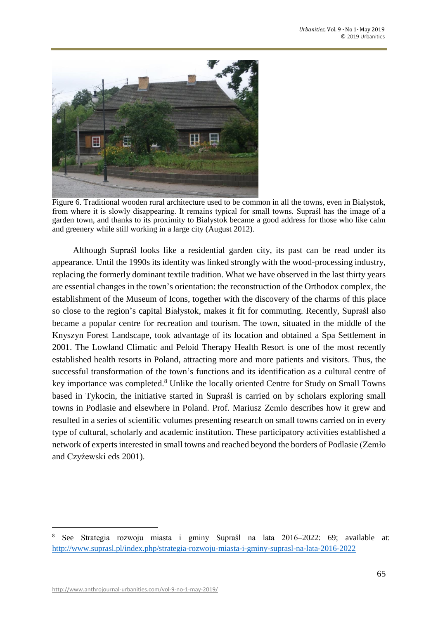

Figure 6. Traditional wooden rural architecture used to be common in all the towns, even in Bialystok, from where it is slowly disappearing. It remains typical for small towns. Supraśl has the image of a garden town, and thanks to its proximity to Bialystok became a good address for those who like calm and greenery while still working in a large city (August 2012).

Although Supraśl looks like a residential garden city, its past can be read under its appearance. Until the 1990s its identity was linked strongly with the wood-processing industry, replacing the formerly dominant textile tradition. What we have observed in the last thirty years are essential changes in the town's orientation: the reconstruction of the Orthodox complex, the establishment of the Museum of Icons, together with the discovery of the charms of this place so close to the region's capital Białystok, makes it fit for commuting. Recently, Supraśl also became a popular centre for recreation and tourism. The town, situated in the middle of the Knyszyn Forest Landscape, took advantage of its location and obtained a Spa Settlement in 2001. The Lowland Climatic and Peloid Therapy Health Resort is one of the most recently established health resorts in Poland, attracting more and more patients and visitors. Thus, the successful transformation of the town's functions and its identification as a cultural centre of key importance was completed.<sup>8</sup> Unlike the locally oriented Centre for Study on Small Towns based in Tykocin, the initiative started in Supraśl is carried on by scholars exploring small towns in Podlasie and elsewhere in Poland. Prof. Mariusz Zemło describes how it grew and resulted in a series of scientific volumes presenting research on small towns carried on in every type of cultural, scholarly and academic institution. These participatory activities established a network of experts interested in small towns and reached beyond the borders of Podlasie (Zemło and Czyźewski eds 2001).

 $\overline{a}$ 

<sup>8</sup> See Strategia rozwoju miasta i gminy Supraśl na lata 2016–2022: 69; available at: <http://www.suprasl.pl/index.php/strategia-rozwoju-miasta-i-gminy-suprasl-na-lata-2016-2022>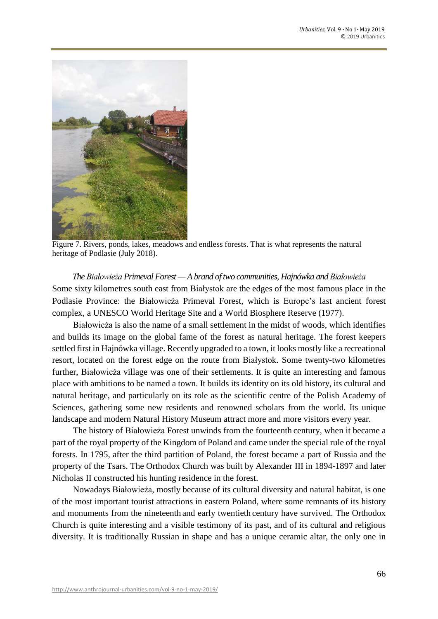

Figure 7. Rivers, ponds, lakes, meadows and endless forests. That is what represents the natural heritage of Podlasie (July 2018).

# *The Białowieża Primeval Forest — A brand of two communities, Hajnówka and Białowieża* Some sixty kilometres south east from Białystok are the edges of the most famous place in the Podlasie Province: the Białowieża Primeval Forest, which is Europe's last ancient forest complex, a UNESCO World Heritage Site and a World Biosphere Reserve (1977).

Białowieża is also the name of a small settlement in the midst of woods, which identifies and builds its image on the global fame of the forest as natural heritage. The forest keepers settled first in Hajnówka village. Recently upgraded to a town, it looks mostly like a recreational resort, located on the forest edge on the route from Białystok. Some twenty-two kilometres further, Białowieża village was one of their settlements. It is quite an interesting and famous place with ambitions to be named a town. It builds its identity on its old history, its cultural and natural heritage, and particularly on its role as the scientific centre of the Polish Academy of Sciences, gathering some new residents and renowned scholars from the world. Its unique landscape and modern Natural History Museum attract more and more visitors every year.

The history of Białowieża Forest unwinds from the fourteenth century, when it became a part of the royal property of the Kingdom of Poland and came under the special rule of the royal forests. In 1795, after the third partition of Poland, the forest became a part of Russia and the property of the Tsars. The Orthodox Church was built by Alexander III in 1894-1897 and later Nicholas II constructed his hunting residence in the forest.

Nowadays Białowieża, mostly because of its cultural diversity and natural habitat, is one of the most important tourist attractions in eastern Poland, where some remnants of its history and monuments from the nineteenth and early twentieth century have survived. The Orthodox Church is quite interesting and a visible testimony of its past, and of its cultural and religious diversity. It is traditionally Russian in shape and has a unique ceramic altar, the only one in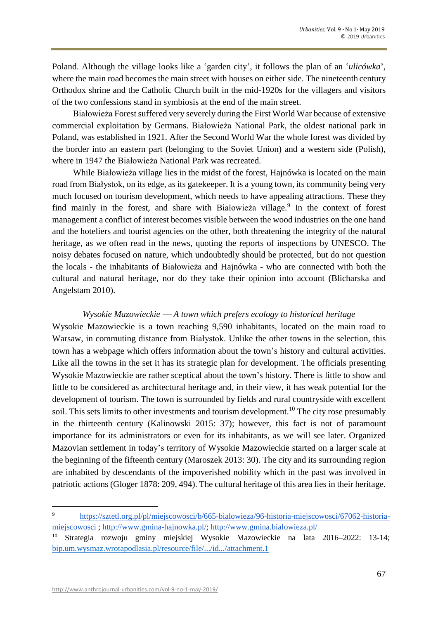Poland. Although the village looks like a 'garden city', it follows the plan of an '*ulicówka*', where the main road becomes the main street with houses on either side. The nineteenth century Orthodox shrine and the Catholic Church built in the mid-1920s for the villagers and visitors of the two confessions stand in symbiosis at the end of the main street.

Białowieża Forest suffered very severely during the First World War because of extensive commercial exploitation by Germans. Białowieża National Park, the oldest national park in Poland, was established in 1921. After the Second World War the whole forest was divided by the border into an eastern part (belonging to the Soviet Union) and a western side (Polish), where in 1947 the Białowieża National Park was recreated.

While Białowieża village lies in the midst of the forest, Hajnówka is located on the main road from Białystok, on its edge, as its gatekeeper. It is a young town, its community being very much focused on tourism development, which needs to have appealing attractions. These they find mainly in the forest, and share with Białowieża village.<sup>9</sup> In the context of forest management a conflict of interest becomes visible between the wood industries on the one hand and the hoteliers and tourist agencies on the other, both threatening the integrity of the natural heritage, as we often read in the news, quoting the reports of inspections by UNESCO. The noisy debates focused on nature, which undoubtedly should be protected, but do not question the locals - the inhabitants of Białowieża and Hajnówka - who are connected with both the cultural and natural heritage, nor do they take their opinion into account (Blicharska and Angelstam 2010).

## *Wysokie Mazowieckie ⸺ A town which prefers ecology to historical heritage*

Wysokie Mazowieckie is a town reaching 9,590 inhabitants, located on the main road to Warsaw, in commuting distance from Białystok. Unlike the other towns in the selection, this town has a webpage which offers information about the town's history and cultural activities. Like all the towns in the set it has its strategic plan for development. The officials presenting Wysokie Mazowieckie are rather sceptical about the town's history. There is little to show and little to be considered as architectural heritage and, in their view, it has weak potential for the development of tourism. The town is surrounded by fields and rural countryside with excellent soil. This sets limits to other investments and tourism development.<sup>10</sup> The city rose presumably in the thirteenth century (Kalinowski 2015: 37); however, this fact is not of paramount importance for its administrators or even for its inhabitants, as we will see later. Organized Mazovian settlement in today's territory of Wysokie Mazowieckie started on a larger scale at the beginning of the fifteenth century (Maroszek 2013: 30). The city and its surrounding region are inhabited by descendants of the impoverished nobility which in the past was involved in patriotic actions (Gloger 1878: 209, 494). The cultural heritage of this area lies in their heritage.

 $\overline{\phantom{a}}$ 

<sup>9</sup> [https://sztetl.org.pl/pl/miejscowosci/b/665-bialowieza/96-historia-miejscowosci/67062-historia](https://sztetl.org.pl/pl/miejscowosci/b/665-bialowieza/96-historia-miejscowosci/67062-historia-miejscowosci)[miejscowosci](https://sztetl.org.pl/pl/miejscowosci/b/665-bialowieza/96-historia-miejscowosci/67062-historia-miejscowosci) ; [http://www.gmina-hajnowka.pl/;](http://www.gmina-hajnowka.pl/)<http://www.gmina.bialowieza.pl/>

<sup>10</sup> Strategia rozwoju gminy miejskiej Wysokie Mazowieckie na lata 2016–2022: 13-14; [bip.um.wysmaz.wrotapodlasia.pl/resource/file/.../id.../attachment.1](https://www.google.cz/url?sa=t&rct=j&q=&esrc=s&source=web&cd=1&ved=2ahUKEwiVrt2Z2-_fAhVO-qQKHQcKAR4QFjAAegQICRAC&url=http%3A%2F%2Fbip.um.wysmaz.wrotapodlasia.pl%2Fresource%2Ffile%2Fdownload-file%2Fid.7907%2Fattachment.1&usg=AOvVaw3xmiDowIky3yRGxJi4MMP4)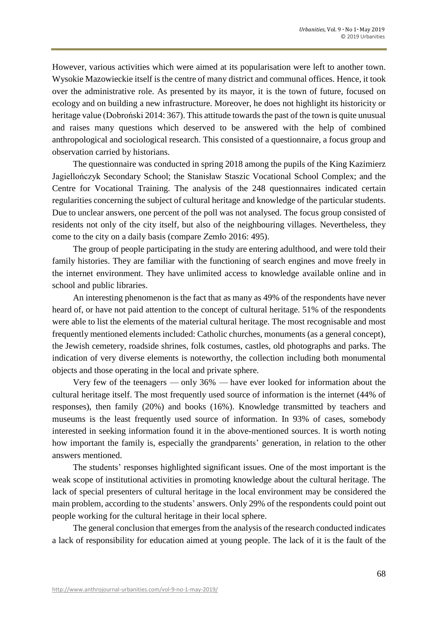However, various activities which were aimed at its popularisation were left to another town. Wysokie Mazowieckie itself is the centre of many district and communal offices. Hence, it took over the administrative role. As presented by its mayor, it is the town of future, focused on ecology and on building a new infrastructure. Moreover, he does not highlight its historicity or heritage value (Dobroński 2014: 367). This attitude towards the past of the town is quite unusual and raises many questions which deserved to be answered with the help of combined anthropological and sociological research. This consisted of a questionnaire, a focus group and observation carried by historians.

The questionnaire was conducted in spring 2018 among the pupils of the King Kazimierz Jagiellończyk Secondary School; the Stanisław Staszic Vocational School Complex; and the Centre for Vocational Training. The analysis of the 248 questionnaires indicated certain regularities concerning the subject of cultural heritage and knowledge of the particular students. Due to unclear answers, one percent of the poll was not analysed. The focus group consisted of residents not only of the city itself, but also of the neighbouring villages. Nevertheless, they come to the city on a daily basis (compare Zemło 2016: 495).

The group of people participating in the study are entering adulthood, and were told their family histories. They are familiar with the functioning of search engines and move freely in the internet environment. They have unlimited access to knowledge available online and in school and public libraries.

An interesting phenomenon is the fact that as many as 49% of the respondents have never heard of, or have not paid attention to the concept of cultural heritage. 51% of the respondents were able to list the elements of the material cultural heritage. The most recognisable and most frequently mentioned elements included: Catholic churches, monuments (as a general concept), the Jewish cemetery, roadside shrines, folk costumes, castles, old photographs and parks. The indication of very diverse elements is noteworthy, the collection including both monumental objects and those operating in the local and private sphere.

Very few of the teenagers *⸺* only 36% *⸺* have ever looked for information about the cultural heritage itself. The most frequently used source of information is the internet (44% of responses), then family (20%) and books (16%). Knowledge transmitted by teachers and museums is the least frequently used source of information. In 93% of cases, somebody interested in seeking information found it in the above-mentioned sources. It is worth noting how important the family is, especially the grandparents' generation, in relation to the other answers mentioned.

The students' responses highlighted significant issues. One of the most important is the weak scope of institutional activities in promoting knowledge about the cultural heritage. The lack of special presenters of cultural heritage in the local environment may be considered the main problem, according to the students' answers. Only 29% of the respondents could point out people working for the cultural heritage in their local sphere.

The general conclusion that emerges from the analysis of the research conducted indicates a lack of responsibility for education aimed at young people. The lack of it is the fault of the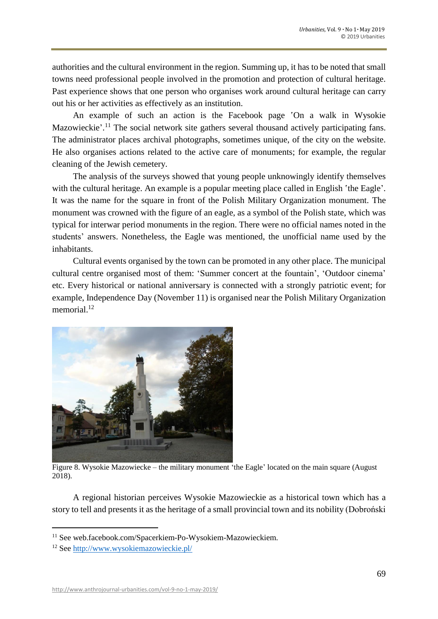authorities and the cultural environment in the region. Summing up, it has to be noted that small towns need professional people involved in the promotion and protection of cultural heritage. Past experience shows that one person who organises work around cultural heritage can carry out his or her activities as effectively as an institution.

An example of such an action is the Facebook page 'On a walk in Wysokie Mazowieckie'.<sup>11</sup> The social network site gathers several thousand actively participating fans. The administrator places archival photographs, sometimes unique, of the city on the website. He also organises actions related to the active care of monuments; for example, the regular cleaning of the Jewish cemetery.

The analysis of the surveys showed that young people unknowingly identify themselves with the cultural heritage. An example is a popular meeting place called in English 'the Eagle'. It was the name for the square in front of the Polish Military Organization monument. The monument was crowned with the figure of an eagle, as a symbol of the Polish state, which was typical for interwar period monuments in the region. There were no official names noted in the students' answers. Nonetheless, the Eagle was mentioned, the unofficial name used by the inhabitants.

Cultural events organised by the town can be promoted in any other place. The municipal cultural centre organised most of them: ʻSummer concert at the fountain', ʻOutdoor cinema' etc. Every historical or national anniversary is connected with a strongly patriotic event; for example, Independence Day (November 11) is organised near the Polish Military Organization memorial.<sup>12</sup>



Figure 8. Wysokie Mazowiecke – the military monument 'the Eagle' located on the main square (August 2018).

A regional historian perceives Wysokie Mazowieckie as a historical town which has a story to tell and presents it as the heritage of a small provincial town and its nobility (Dobroński

 $\overline{a}$ 

<sup>&</sup>lt;sup>11</sup> See web.facebook.com/Spacerkiem-Po-Wysokiem-Mazowieckiem.

<sup>12</sup> See<http://www.wysokiemazowieckie.pl/>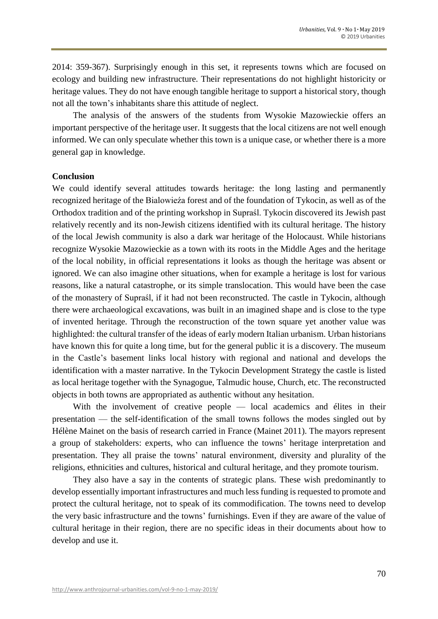2014: 359-367). Surprisingly enough in this set, it represents towns which are focused on ecology and building new infrastructure. Their representations do not highlight historicity or heritage values. They do not have enough tangible heritage to support a historical story, though not all the town's inhabitants share this attitude of neglect.

The analysis of the answers of the students from Wysokie Mazowieckie offers an important perspective of the heritage user. It suggests that the local citizens are not well enough informed. We can only speculate whether this town is a unique case, or whether there is a more general gap in knowledge.

#### **Conclusion**

We could identify several attitudes towards heritage: the long lasting and permanently recognized heritage of the Bialowieźa forest and of the foundation of Tykocin, as well as of the Orthodox tradition and of the printing workshop in Supraśl. Tykocin discovered its Jewish past relatively recently and its non-Jewish citizens identified with its cultural heritage. The history of the local Jewish community is also a dark war heritage of the Holocaust. While historians recognize Wysokie Mazowieckie as a town with its roots in the Middle Ages and the heritage of the local nobility, in official representations it looks as though the heritage was absent or ignored. We can also imagine other situations, when for example a heritage is lost for various reasons, like a natural catastrophe, or its simple translocation. This would have been the case of the monastery of Supraśl, if it had not been reconstructed. The castle in Tykocin, although there were archaeological excavations, was built in an imagined shape and is close to the type of invented heritage. Through the reconstruction of the town square yet another value was highlighted: the cultural transfer of the ideas of early modern Italian urbanism. Urban historians have known this for quite a long time, but for the general public it is a discovery. The museum in the Castle's basement links local history with regional and national and develops the identification with a master narrative. In the Tykocin Development Strategy the castle is listed as local heritage together with the Synagogue, Talmudic house, Church, etc. The reconstructed objects in both towns are appropriated as authentic without any hesitation.

With the involvement of creative people — local academics and élites in their presentation — the self-identification of the small towns follows the modes singled out by Hélène Mainet on the basis of research carried in France (Mainet 2011). The mayors represent a group of stakeholders: experts, who can influence the towns' heritage interpretation and presentation. They all praise the towns' natural environment, diversity and plurality of the religions, ethnicities and cultures, historical and cultural heritage, and they promote tourism.

They also have a say in the contents of strategic plans. These wish predominantly to develop essentially important infrastructures and much less funding is requested to promote and protect the cultural heritage, not to speak of its commodification. The towns need to develop the very basic infrastructure and the towns' furnishings. Even if they are aware of the value of cultural heritage in their region, there are no specific ideas in their documents about how to develop and use it.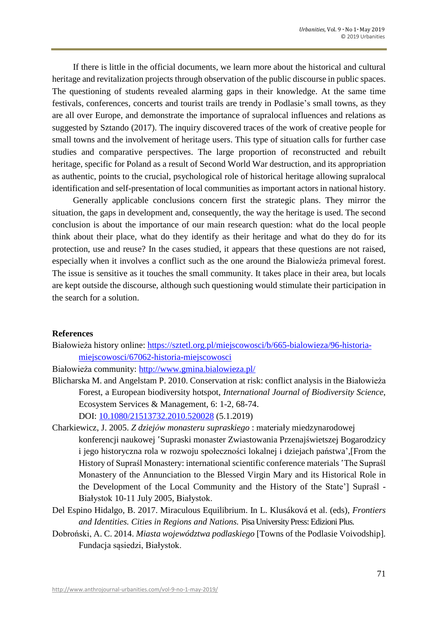If there is little in the official documents, we learn more about the historical and cultural heritage and revitalization projects through observation of the public discourse in public spaces. The questioning of students revealed alarming gaps in their knowledge. At the same time festivals, conferences, concerts and tourist trails are trendy in Podlasie's small towns, as they are all over Europe, and demonstrate the importance of supralocal influences and relations as suggested by Sztando (2017). The inquiry discovered traces of the work of creative people for small towns and the involvement of heritage users. This type of situation calls for further case studies and comparative perspectives. The large proportion of reconstructed and rebuilt heritage, specific for Poland as a result of Second World War destruction, and its appropriation as authentic, points to the crucial, psychological role of historical heritage allowing supralocal identification and self-presentation of local communities as important actors in national history.

Generally applicable conclusions concern first the strategic plans. They mirror the situation, the gaps in development and, consequently, the way the heritage is used. The second conclusion is about the importance of our main research question: what do the local people think about their place, what do they identify as their heritage and what do they do for its protection, use and reuse? In the cases studied, it appears that these questions are not raised, especially when it involves a conflict such as the one around the Bialowieźa primeval forest. The issue is sensitive as it touches the small community. It takes place in their area, but locals are kept outside the discourse, although such questioning would stimulate their participation in the search for a solution.

#### **References**

Białowieża history online: [https://sztetl.org.pl/miejscowosci/b/665-bialowieza/96-historia](https://sztetl.org.pl/miejscowosci/b/665-bialowieza/96-historia-)miejscowosci/67062-historia-miejscowosci

Białowieża community: <http://www.gmina.bialowieza.pl/>

- Blicharska M. and Angelstam P. 2010. Conservation at risk: conflict analysis in the Białowieża Forest, a European biodiversity hotspot, *International Journal of Biodiversity Science*, Ecosystem Services & Management, 6: 1-2, 68-74. DOI: [10.1080/21513732.2010.520028](https://doi.org/10.1080/21513732.2010.520028) (5.1.2019)
- Charkiewicz, J. 2005. *Z dziejów monasteru supraskiego* : materiały miedzynarodowej konferencji naukowej 'Supraski monaster Zwiastowania Przenajświetszej Bogarodzicy i jego historyczna rola w rozwoju społeczności lokalnej i dziejach państwa',[From the History of Supraśl Monastery: international scientific conference materials 'The Supraśl Monastery of the Annunciation to the Blessed Virgin Mary and its Historical Role in the Development of the Local Community and the History of the State'] Supraśl - Białystok 10-11 July 2005, Białystok.
- Del Espino Hidalgo, B. 2017. Miraculous Equilibrium. In L. Klusáková et al. (eds), *Frontiers and Identities. Cities in Regions and Nations.* Pisa University Press: Edizioni Plus.
- Dobroński, A. C. 2014. *Miasta województwa podlaskiego* [Towns of the Podlasie Voivodship]*.* Fundacja sąsiedzi, Białystok.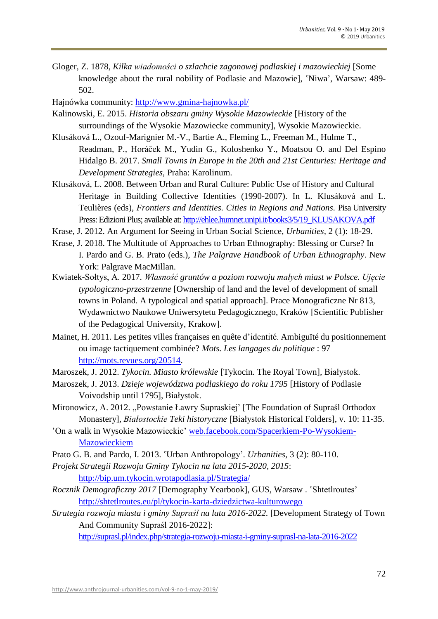- Gloger, Z. 1878, *Kilka wiadomości o szlachcie zagonowej podlaskiej i mazowieckiej* [Some knowledge about the rural nobility of Podlasie and Mazowie], 'Niwa', Warsaw: 489-502.
- Hajnówka community: <http://www.gmina-hajnowka.pl/>
- Kalinowski, E. 2015. *Historia obszaru gminy Wysokie Mazowieckie* [History of the surroundings of the Wysokie Mazowiecke community], Wysokie Mazowieckie.
- Klusáková L., Ozouf-Marignier M.-V., Bartie A., Fleming L., Freeman M., Hulme T., Readman, P., Horáček M., Yudin G., Koloshenko Y., Moatsou O. and Del Espino Hidalgo B. 2017. *Small Towns in Europe in the 20th and 21st Centuries: Heritage and Development Strategies*, Praha: Karolinum.
- Klusáková, L. 2008. Between Urban and Rural Culture: Public Use of History and Cultural Heritage in Building Collective Identities (1990-2007). In L. Klusáková and L. Teulières (eds), *Frontiers and Identities. Cities in Regions and Nations.* Pisa University Press: Edizioni Plus; available at: [http://ehlee.humnet.unipi.it/books3/5/19\\_KLUSAKOVA.pdf](http://ehlee.humnet.unipi.it/books3/5/19_KLUSAKOVA.pdf)
- Krase, J. 2012. An Argument for Seeing in Urban Social Science, *Urbanities,* 2 (1): 18-29.
- Krase, J. 2018. The Multitude of Approaches to Urban Ethnography: Blessing or Curse? In I. Pardo and G. B. Prato (eds.), *The Palgrave Handbook of Urban Ethnography*. New York: Palgrave MacMillan.
- Kwiatek-Sołtys, A. 2017. *Własność gruntów a poziom rozwoju małych miast w Polsce. Ujęcie typologiczno-przestrzenne* [Ownership of land and the level of development of small towns in Poland. A typological and spatial approach]. Prace Monograficzne Nr 813, Wydawnictwo Naukowe Uniwersytetu Pedagogicznego, Kraków [Scientific Publisher of the Pedagogical University, Krakow].
- Mainet, H. 2011. Les petites villes françaises en quête d'identité. Ambiguïté du positionnement ou image tactiquement combinée? *Mots. Les langages du politique* : 97 [http://mots.revues.org/20514.](http://mots.revues.org/20514)
- Maroszek, J. 2012. *Tykocin. Miasto królewskie* [Tykocin. The Royal Town]*,* Białystok.
- Maroszek, J. 2013. *Dzieje województwa podlaskiego do roku 1795* [History of Podlasie Voivodship until 1795], Białystok.
- Mironowicz, A. 2012. "Powstanie Ławry Supraskiej' [The Foundation of Supraśl Orthodox Monastery], *Białostockie Teki historyczne* [Białystok Historical Folders], v. 10: 11-35.
- ʽOn a walk in Wysokie Mazowieckie' web.facebook.com/Spacerkiem-Po-Wysokiem-Mazowieckiem
- Prato G. B. and Pardo, I. 2013. 'Urban Anthropology'. *Urbanities*, 3 (2): 80-110.
- *Projekt Strategii Rozwoju Gminy Tykocin na lata 2015-2020, 2015*: <http://bip.um.tykocin.wrotapodlasia.pl/Strategia/>
- *Rocznik Demograficzny 2017* [Demography Yearbook], GUS, Warsaw . 'Shtetlroutes' <http://shtetlroutes.eu/pl/tykocin-karta-dziedzictwa-kulturowego>
- *Strategia rozwoju miasta i gminy Supraśl na lata 2016-2022.* [Development Strategy of Town And Community Supraśl 2016-2022]:

<http://suprasl.pl/index.php/strategia-rozwoju-miasta-i-gminy-suprasl-na-lata-2016-2022>